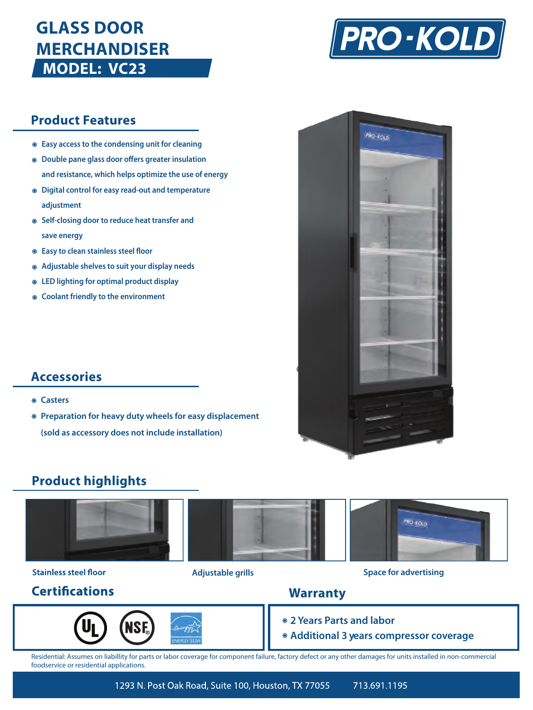# **GLASS DOOR MERCHANDISER MODEL: VC23**



# **Product Features**

- **Easy access to the condensing unit for cleaning**
- $\odot$  Double pane glass door offers greater insulation **and resistance, which helps optimize the use of energy**
- **Digital control for easy read-out and temperature adjustment**
- **Self-closing door to reduce heat transfer and save energy**
- $\circ$  Easy to clean stainless steel floor
- **Adjustable shelves to suit your display needs**
- **LED lighting for optimal product display**
- **Coolant friendly to the environment**

# **Accessories**

- **Casters**
- **Preparation for heavy duty wheels for easy displacement (sold as accessory does not include installation)**

# **PRO-XOLD**

# **Product highlights**



# **Stainless steel floor**

# **Certifications**





# **Adjustable grills Space for advertising**

# **Warranty**

- **2 Years Parts and labor**
- **Additional 3 years compressor coverage**

Residential: Assumes on liabillity for parts or labor coverage for component failure, factory defect or any other damages for units installed in non-commercial foodservice or residential applications.

> 1293 N. Post Oak Road, Suite 100, Houston, TX 77055 713.691.1195